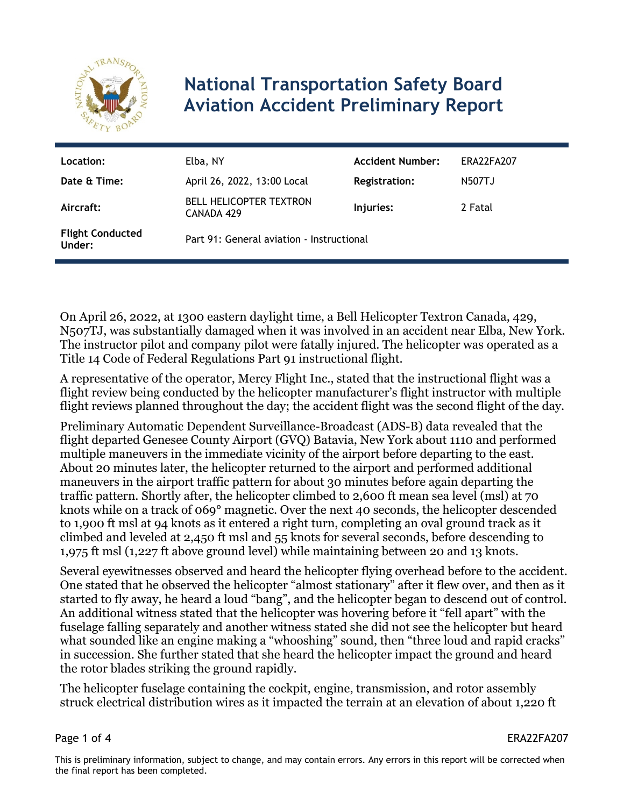

## **National Transportation Safety Board Aviation Accident Preliminary Report**

| Location:<br>Date & Time:         | Elba, NY<br>April 26, 2022, 13:00 Local      | <b>Accident Number:</b><br><b>Registration:</b> | ERA22FA207<br>N507TJ |
|-----------------------------------|----------------------------------------------|-------------------------------------------------|----------------------|
| Aircraft:                         | <b>BELL HELICOPTER TEXTRON</b><br>CANADA 429 | Injuries:                                       | 2 Fatal              |
| <b>Flight Conducted</b><br>Under: | Part 91: General aviation - Instructional    |                                                 |                      |

On April 26, 2022, at 1300 eastern daylight time, a Bell Helicopter Textron Canada, 429, N507TJ, was substantially damaged when it was involved in an accident near Elba, New York. The instructor pilot and company pilot were fatally injured. The helicopter was operated as a Title 14 Code of Federal Regulations Part 91 instructional flight.

A representative of the operator, Mercy Flight Inc., stated that the instructional flight was a flight review being conducted by the helicopter manufacturer's flight instructor with multiple flight reviews planned throughout the day; the accident flight was the second flight of the day.

Preliminary Automatic Dependent Surveillance-Broadcast (ADS-B) data revealed that the flight departed Genesee County Airport (GVQ) Batavia, New York about 1110 and performed multiple maneuvers in the immediate vicinity of the airport before departing to the east. About 20 minutes later, the helicopter returned to the airport and performed additional maneuvers in the airport traffic pattern for about 30 minutes before again departing the traffic pattern. Shortly after, the helicopter climbed to 2,600 ft mean sea level (msl) at 70 knots while on a track of 069° magnetic. Over the next 40 seconds, the helicopter descended to 1,900 ft msl at 94 knots as it entered a right turn, completing an oval ground track as it climbed and leveled at 2,450 ft msl and 55 knots for several seconds, before descending to 1,975 ft msl (1,227 ft above ground level) while maintaining between 20 and 13 knots.

Several eyewitnesses observed and heard the helicopter flying overhead before to the accident. One stated that he observed the helicopter "almost stationary" after it flew over, and then as it started to fly away, he heard a loud "bang", and the helicopter began to descend out of control. An additional witness stated that the helicopter was hovering before it "fell apart" with the fuselage falling separately and another witness stated she did not see the helicopter but heard what sounded like an engine making a "whooshing" sound, then "three loud and rapid cracks" in succession. She further stated that she heard the helicopter impact the ground and heard the rotor blades striking the ground rapidly.

The helicopter fuselage containing the cockpit, engine, transmission, and rotor assembly struck electrical distribution wires as it impacted the terrain at an elevation of about 1,220 ft

Page 1 of 4 ERA22FA207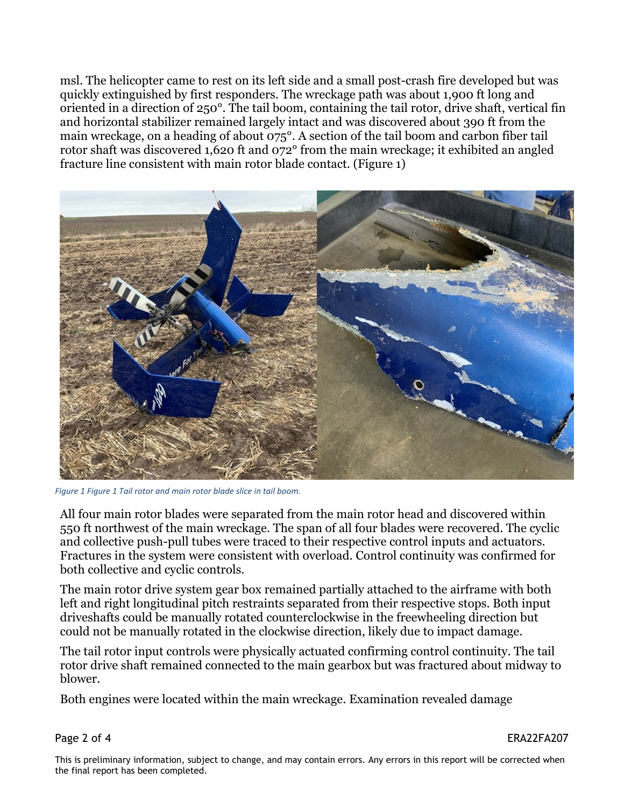msl. The helicopter came to rest on its left side and a small post-crash fire developed but was quickly extinguished by first responders. The wreckage path was about 1,900 ft long and oriented in a direction of 250°. The tail boom, containing the tail rotor, drive shaft, vertical fin and horizontal stabilizer remained largely intact and was discovered about 390 ft from the main wreckage, on a heading of about 075°. A section of the tail boom and carbon fiber tail rotor shaft was discovered 1,620 ft and 072° from the main wreckage; it exhibited an angled fracture line consistent with main rotor blade contact. (Figure 1)



*Figure 1 Figure 1 Tail rotor and main rotor blade slice in tail boom.*

All four main rotor blades were separated from the main rotor head and discovered within 550 ft northwest of the main wreckage. The span of all four blades were recovered. The cyclic and collective push-pull tubes were traced to their respective control inputs and actuators. Fractures in the system were consistent with overload. Control continuity was confirmed for both collective and cyclic controls.

The main rotor drive system gear box remained partially attached to the airframe with both left and right longitudinal pitch restraints separated from their respective stops. Both input driveshafts could be manually rotated counterclockwise in the freewheeling direction but could not be manually rotated in the clockwise direction, likely due to impact damage.

The tail rotor input controls were physically actuated confirming control continuity. The tail rotor drive shaft remained connected to the main gearbox but was fractured about midway to blower.

Both engines were located within the main wreckage. Examination revealed damage

Page 2 of 4 ERA22FA207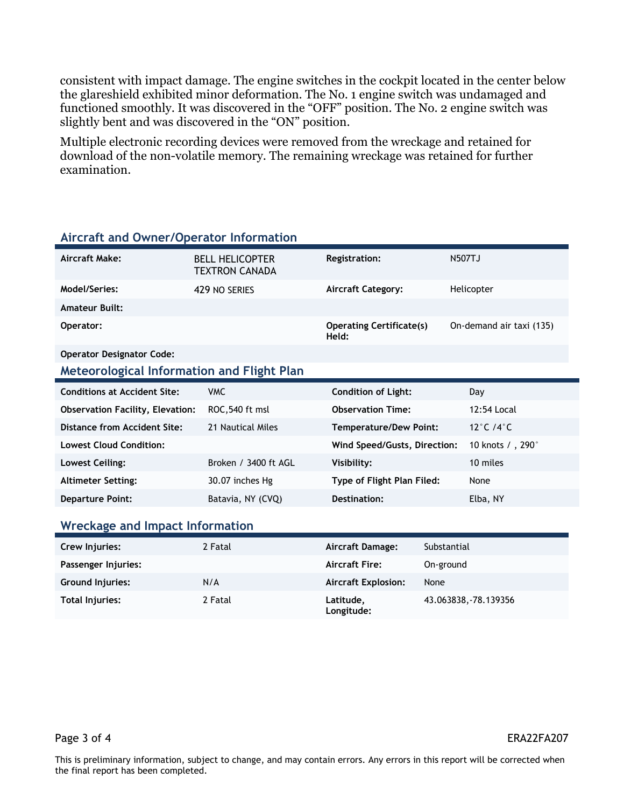consistent with impact damage. The engine switches in the cockpit located in the center below the glareshield exhibited minor deformation. The No. 1 engine switch was undamaged and functioned smoothly. It was discovered in the "OFF" position. The No. 2 engine switch was slightly bent and was discovered in the "ON" position.

Multiple electronic recording devices were removed from the wreckage and retained for download of the non-volatile memory. The remaining wreckage was retained for further examination.

| Aircraft Make:                                    | <b>BELL HELICOPTER</b><br>TEXTRON CANADA | Registration:                            | <b>N507TJ</b>                 |  |
|---------------------------------------------------|------------------------------------------|------------------------------------------|-------------------------------|--|
| Model/Series:                                     | 429 NO SERIES                            | <b>Aircraft Category:</b>                | Helicopter                    |  |
| <b>Amateur Built:</b>                             |                                          |                                          |                               |  |
| Operator:                                         |                                          | <b>Operating Certificate(s)</b><br>Held: | On-demand air taxi (135)      |  |
| <b>Operator Designator Code:</b>                  |                                          |                                          |                               |  |
| <b>Meteorological Information and Flight Plan</b> |                                          |                                          |                               |  |
| <b>Conditions at Accident Site:</b>               | <b>VMC</b>                               | <b>Condition of Light:</b>               | Day                           |  |
| <b>Observation Facility, Elevation:</b>           | ROC, 540 ft msl                          | <b>Observation Time:</b>                 | 12:54 Local                   |  |
| Distance from Accident Site:                      | 21 Nautical Miles                        | <b>Temperature/Dew Point:</b>            | 12 $\degree$ C /4 $\degree$ C |  |
| <b>Lowest Cloud Condition:</b>                    |                                          | Wind Speed/Gusts, Direction:             | 10 knots / , 290°             |  |
| <b>Lowest Ceiling:</b>                            | Broken / 3400 ft AGL                     | Visibility:                              | 10 miles                      |  |
| <b>Altimeter Setting:</b>                         | 30.07 inches Hg                          | Type of Flight Plan Filed:               | None                          |  |
| <b>Departure Point:</b>                           | Batavia, NY (CVQ)                        | Destination:                             | Elba, NY                      |  |
| Wreckage and Impact Information                   |                                          |                                          |                               |  |

## **Aircraft and Owner/Operator Information**

| Crew Injuries:          | 2 Fatal | Aircraft Damage:           | Substantial           |
|-------------------------|---------|----------------------------|-----------------------|
| Passenger Injuries:     |         | <b>Aircraft Fire:</b>      | On-ground             |
| <b>Ground Injuries:</b> | N/A     | <b>Aircraft Explosion:</b> | None                  |
| Total Injuries:         | 2 Fatal | Latitude,<br>Longitude:    | 43.063838, -78.139356 |

Page 3 of 4 ERA22FA207